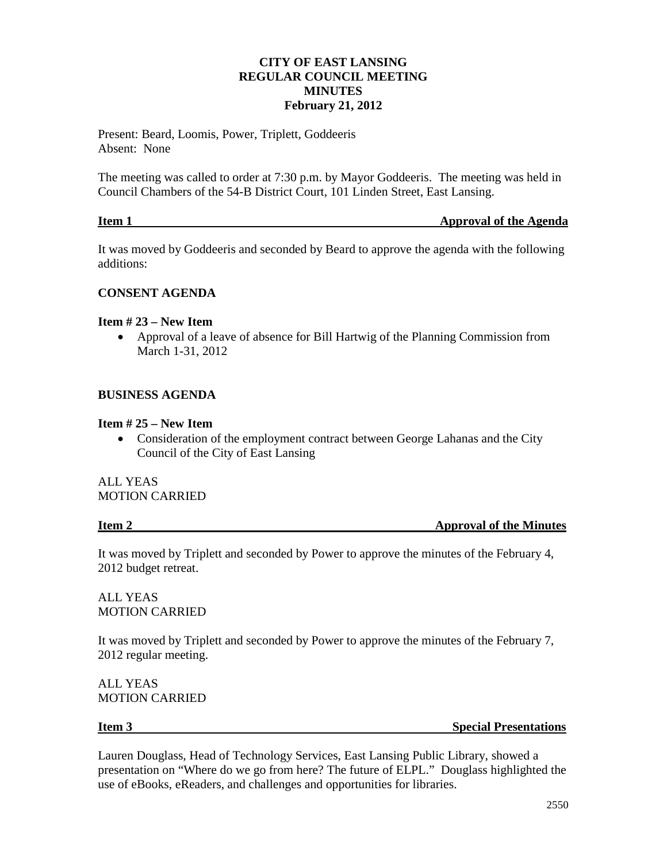# **CITY OF EAST LANSING REGULAR COUNCIL MEETING MINUTES February 21, 2012**

Present: Beard, Loomis, Power, Triplett, Goddeeris Absent: None

The meeting was called to order at 7:30 p.m. by Mayor Goddeeris. The meeting was held in Council Chambers of the 54-B District Court, 101 Linden Street, East Lansing.

| Item 1 | <b>Approval of the Agenda</b> |
|--------|-------------------------------|
|        |                               |

It was moved by Goddeeris and seconded by Beard to approve the agenda with the following additions:

### **CONSENT AGENDA**

### **Item # 23 – New Item**

• Approval of a leave of absence for Bill Hartwig of the Planning Commission from March 1-31, 2012

### **BUSINESS AGENDA**

### **Item # 25 – New Item**

• Consideration of the employment contract between George Lahanas and the City Council of the City of East Lansing

ALL YEAS MOTION CARRIED

**Item 2 Approval of the Minutes** 

It was moved by Triplett and seconded by Power to approve the minutes of the February 4, 2012 budget retreat.

ALL YEAS MOTION CARRIED

It was moved by Triplett and seconded by Power to approve the minutes of the February 7, 2012 regular meeting.

ALL YEAS MOTION CARRIED

**Item 3** Special Presentations

Lauren Douglass, Head of Technology Services, East Lansing Public Library, showed a presentation on "Where do we go from here? The future of ELPL." Douglass highlighted the use of eBooks, eReaders, and challenges and opportunities for libraries.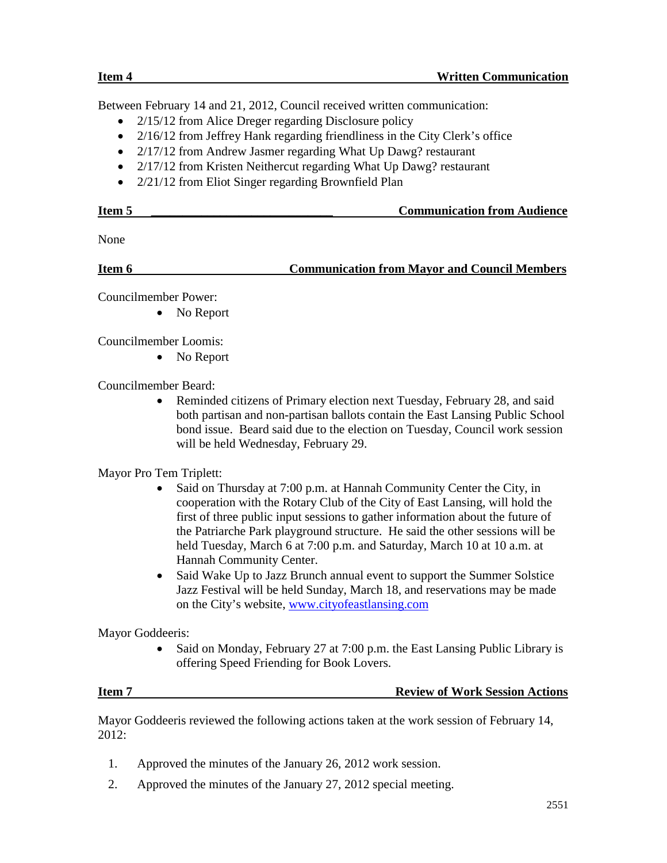Between February 14 and 21, 2012, Council received written communication:

- 2/15/12 from Alice Dreger regarding Disclosure policy
- 2/16/12 from Jeffrey Hank regarding friendliness in the City Clerk's office
- 2/17/12 from Andrew Jasmer regarding What Up Dawg? restaurant
- 2/17/12 from Kristen Neithercut regarding What Up Dawg? restaurant
- 2/21/12 from Eliot Singer regarding Brownfield Plan

| Item : | <b>Communication from Audience</b> |
|--------|------------------------------------|
|        |                                    |

None

**Item 6 Communication from Mayor and Council Members** 

Councilmember Power:

• No Report

Councilmember Loomis:

• No Report

Councilmember Beard:

• Reminded citizens of Primary election next Tuesday, February 28, and said both partisan and non-partisan ballots contain the East Lansing Public School bond issue. Beard said due to the election on Tuesday, Council work session will be held Wednesday, February 29.

Mayor Pro Tem Triplett:

- Said on Thursday at 7:00 p.m. at Hannah Community Center the City, in cooperation with the Rotary Club of the City of East Lansing, will hold the first of three public input sessions to gather information about the future of the Patriarche Park playground structure. He said the other sessions will be held Tuesday, March 6 at 7:00 p.m. and Saturday, March 10 at 10 a.m. at Hannah Community Center.
- Said Wake Up to Jazz Brunch annual event to support the Summer Solstice Jazz Festival will be held Sunday, March 18, and reservations may be made on the City's website, [www.cityofeastlansing.com](http://www.cityofeastlansing.com/)

Mayor Goddeeris:

Said on Monday, February 27 at 7:00 p.m. the East Lansing Public Library is offering Speed Friending for Book Lovers.

# **Item 7 Review of Work Session Actions**

Mayor Goddeeris reviewed the following actions taken at the work session of February 14, 2012:

- 1. Approved the minutes of the January 26, 2012 work session.
- 2. Approved the minutes of the January 27, 2012 special meeting.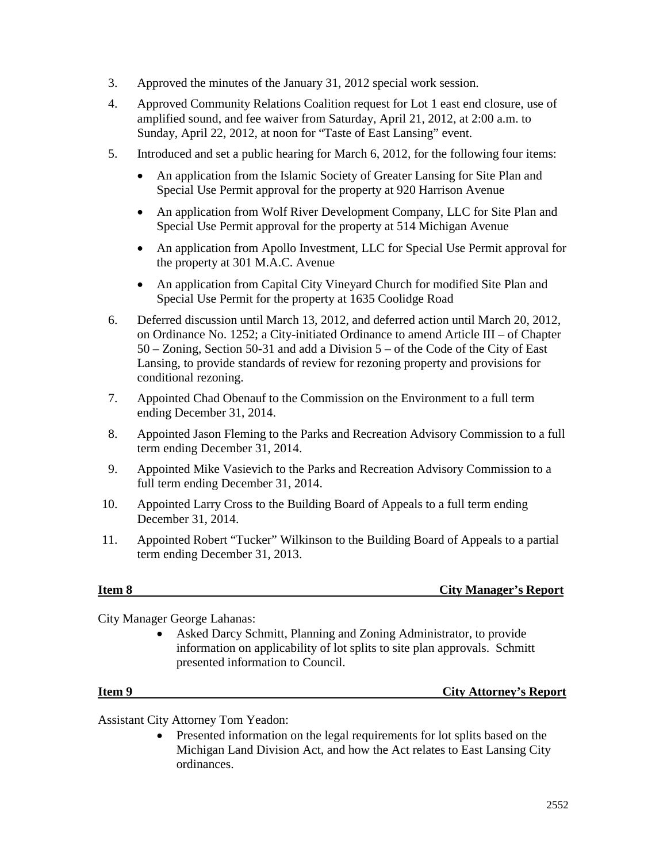- 3. Approved the minutes of the January 31, 2012 special work session.
- 4. Approved Community Relations Coalition request for Lot 1 east end closure, use of amplified sound, and fee waiver from Saturday, April 21, 2012, at 2:00 a.m. to Sunday, April 22, 2012, at noon for "Taste of East Lansing" event.
- 5. Introduced and set a public hearing for March 6, 2012, for the following four items:
	- An application from the Islamic Society of Greater Lansing for Site Plan and Special Use Permit approval for the property at 920 Harrison Avenue
	- An application from Wolf River Development Company, LLC for Site Plan and Special Use Permit approval for the property at 514 Michigan Avenue
	- An application from Apollo Investment, LLC for Special Use Permit approval for the property at 301 M.A.C. Avenue
	- An application from Capital City Vineyard Church for modified Site Plan and Special Use Permit for the property at 1635 Coolidge Road
- 6. Deferred discussion until March 13, 2012, and deferred action until March 20, 2012, on Ordinance No. 1252; a City-initiated Ordinance to amend Article III – of Chapter 50 – Zoning, Section 50-31 and add a Division 5 – of the Code of the City of East Lansing, to provide standards of review for rezoning property and provisions for conditional rezoning.
- 7. Appointed Chad Obenauf to the Commission on the Environment to a full term ending December 31, 2014.
- 8. Appointed Jason Fleming to the Parks and Recreation Advisory Commission to a full term ending December 31, 2014.
- 9. Appointed Mike Vasievich to the Parks and Recreation Advisory Commission to a full term ending December 31, 2014.
- 10. Appointed Larry Cross to the Building Board of Appeals to a full term ending December 31, 2014.
- 11. Appointed Robert "Tucker" Wilkinson to the Building Board of Appeals to a partial term ending December 31, 2013.

# **Item 8 City Manager's Report**

City Manager George Lahanas:

• Asked Darcy Schmitt, Planning and Zoning Administrator, to provide information on applicability of lot splits to site plan approvals. Schmitt presented information to Council.

# **Item 9 City Attorney's Report**

Assistant City Attorney Tom Yeadon:

• Presented information on the legal requirements for lot splits based on the Michigan Land Division Act, and how the Act relates to East Lansing City ordinances.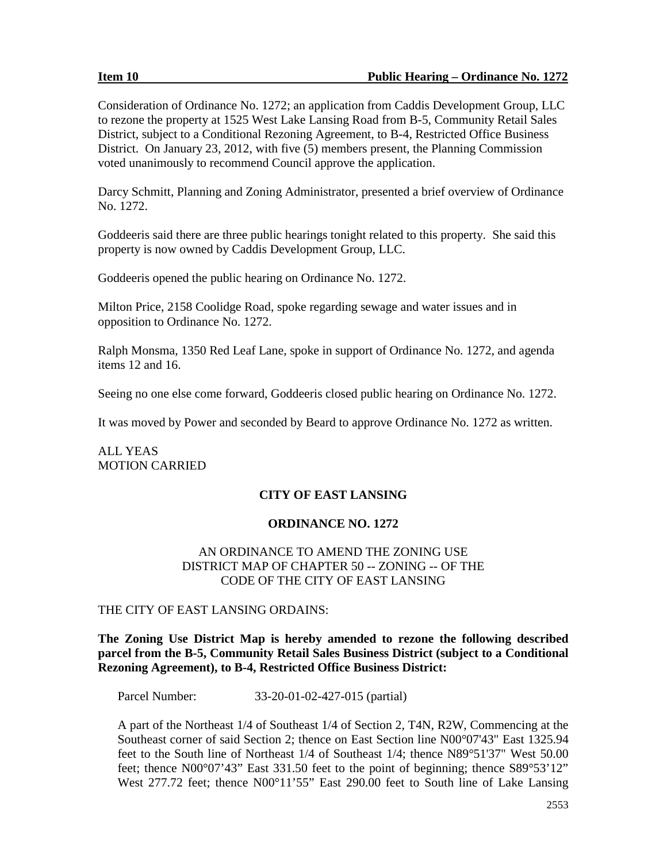Consideration of Ordinance No. 1272; an application from Caddis Development Group, LLC to rezone the property at 1525 West Lake Lansing Road from B-5, Community Retail Sales District, subject to a Conditional Rezoning Agreement, to B-4, Restricted Office Business District. On January 23, 2012, with five (5) members present, the Planning Commission voted unanimously to recommend Council approve the application.

Darcy Schmitt, Planning and Zoning Administrator, presented a brief overview of Ordinance No. 1272.

Goddeeris said there are three public hearings tonight related to this property. She said this property is now owned by Caddis Development Group, LLC.

Goddeeris opened the public hearing on Ordinance No. 1272.

Milton Price, 2158 Coolidge Road, spoke regarding sewage and water issues and in opposition to Ordinance No. 1272.

Ralph Monsma, 1350 Red Leaf Lane, spoke in support of Ordinance No. 1272, and agenda items 12 and 16.

Seeing no one else come forward, Goddeeris closed public hearing on Ordinance No. 1272.

It was moved by Power and seconded by Beard to approve Ordinance No. 1272 as written.

# ALL YEAS MOTION CARRIED

# **CITY OF EAST LANSING**

# **ORDINANCE NO. 1272**

## AN ORDINANCE TO AMEND THE ZONING USE DISTRICT MAP OF CHAPTER 50 -- ZONING -- OF THE CODE OF THE CITY OF EAST LANSING

### THE CITY OF EAST LANSING ORDAINS:

# **The Zoning Use District Map is hereby amended to rezone the following described parcel from the B-5, Community Retail Sales Business District (subject to a Conditional Rezoning Agreement), to B-4, Restricted Office Business District:**

Parcel Number: 33-20-01-02-427-015 (partial)

A part of the Northeast 1/4 of Southeast 1/4 of Section 2, T4N, R2W, Commencing at the Southeast corner of said Section 2; thence on East Section line N00°07'43" East 1325.94 feet to the South line of Northeast 1/4 of Southeast 1/4; thence N89°51'37" West 50.00 feet; thence N00°07'43" East 331.50 feet to the point of beginning; thence S89°53'12" West 277.72 feet; thence N00°11'55" East 290.00 feet to South line of Lake Lansing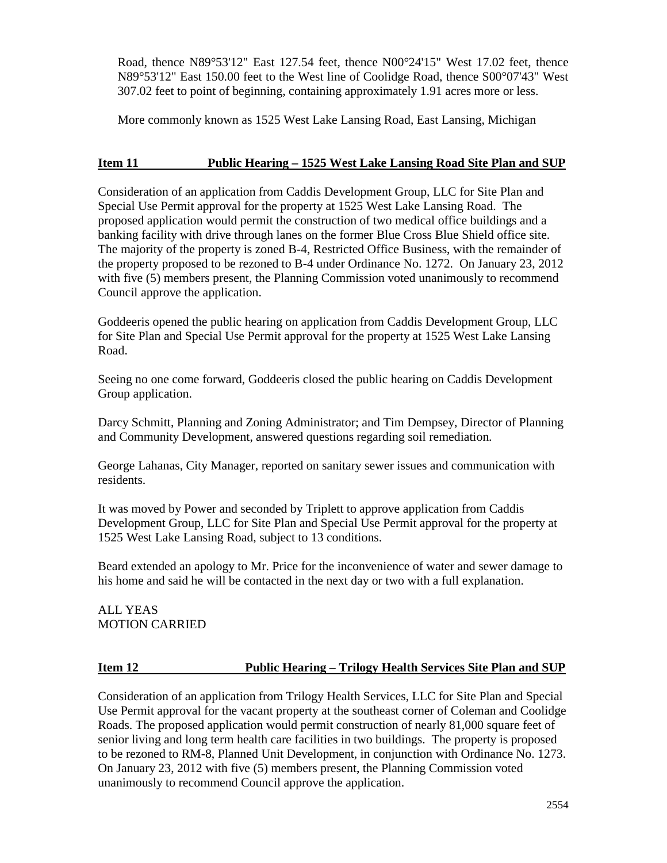Road, thence N89°53'12" East 127.54 feet, thence N00°24'15" West 17.02 feet, thence N89°53'12" East 150.00 feet to the West line of Coolidge Road, thence S00°07'43" West 307.02 feet to point of beginning, containing approximately 1.91 acres more or less.

More commonly known as 1525 West Lake Lansing Road, East Lansing, Michigan

## **Item 11 Public Hearing – 1525 West Lake Lansing Road Site Plan and SUP**

Consideration of an application from Caddis Development Group, LLC for Site Plan and Special Use Permit approval for the property at 1525 West Lake Lansing Road. The proposed application would permit the construction of two medical office buildings and a banking facility with drive through lanes on the former Blue Cross Blue Shield office site. The majority of the property is zoned B-4, Restricted Office Business, with the remainder of the property proposed to be rezoned to B-4 under Ordinance No. 1272. On January 23, 2012 with five (5) members present, the Planning Commission voted unanimously to recommend Council approve the application.

Goddeeris opened the public hearing on application from Caddis Development Group, LLC for Site Plan and Special Use Permit approval for the property at 1525 West Lake Lansing Road.

Seeing no one come forward, Goddeeris closed the public hearing on Caddis Development Group application.

Darcy Schmitt, Planning and Zoning Administrator; and Tim Dempsey, Director of Planning and Community Development, answered questions regarding soil remediation.

George Lahanas, City Manager, reported on sanitary sewer issues and communication with residents.

It was moved by Power and seconded by Triplett to approve application from Caddis Development Group, LLC for Site Plan and Special Use Permit approval for the property at 1525 West Lake Lansing Road, subject to 13 conditions.

Beard extended an apology to Mr. Price for the inconvenience of water and sewer damage to his home and said he will be contacted in the next day or two with a full explanation.

ALL YEAS MOTION CARRIED

# **Item 12 Public Hearing – Trilogy Health Services Site Plan and SUP**

Consideration of an application from Trilogy Health Services, LLC for Site Plan and Special Use Permit approval for the vacant property at the southeast corner of Coleman and Coolidge Roads. The proposed application would permit construction of nearly 81,000 square feet of senior living and long term health care facilities in two buildings. The property is proposed to be rezoned to RM-8, Planned Unit Development, in conjunction with Ordinance No. 1273. On January 23, 2012 with five (5) members present, the Planning Commission voted unanimously to recommend Council approve the application.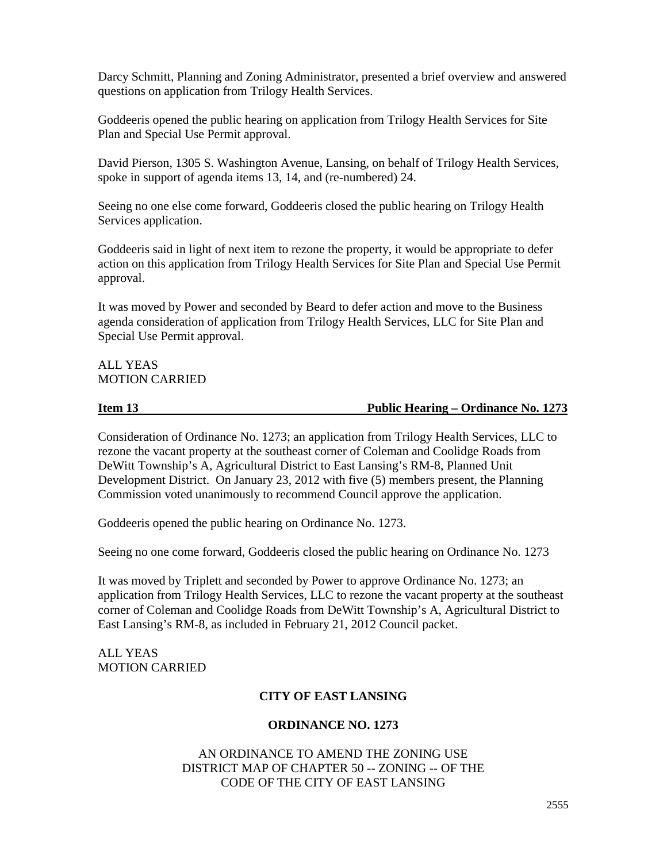Darcy Schmitt, Planning and Zoning Administrator, presented a brief overview and answered questions on application from Trilogy Health Services.

Goddeeris opened the public hearing on application from Trilogy Health Services for Site Plan and Special Use Permit approval.

David Pierson, 1305 S. Washington Avenue, Lansing, on behalf of Trilogy Health Services, spoke in support of agenda items 13, 14, and (re-numbered) 24.

Seeing no one else come forward, Goddeeris closed the public hearing on Trilogy Health Services application.

Goddeeris said in light of next item to rezone the property, it would be appropriate to defer action on this application from Trilogy Health Services for Site Plan and Special Use Permit approval.

It was moved by Power and seconded by Beard to defer action and move to the Business agenda consideration of application from Trilogy Health Services, LLC for Site Plan and Special Use Permit approval.

### ALL YEAS MOTION CARRIED

### **Item 13 Public Hearing – Ordinance No. 1273**

Consideration of Ordinance No. 1273; an application from Trilogy Health Services, LLC to rezone the vacant property at the southeast corner of Coleman and Coolidge Roads from DeWitt Township's A, Agricultural District to East Lansing's RM-8, Planned Unit Development District. On January 23, 2012 with five (5) members present, the Planning Commission voted unanimously to recommend Council approve the application.

Goddeeris opened the public hearing on Ordinance No. 1273.

Seeing no one come forward, Goddeeris closed the public hearing on Ordinance No. 1273

It was moved by Triplett and seconded by Power to approve Ordinance No. 1273; an application from Trilogy Health Services, LLC to rezone the vacant property at the southeast corner of Coleman and Coolidge Roads from DeWitt Township's A, Agricultural District to East Lansing's RM-8, as included in February 21, 2012 Council packet.

ALL YEAS MOTION CARRIED

# **CITY OF EAST LANSING**

# **ORDINANCE NO. 1273**

## AN ORDINANCE TO AMEND THE ZONING USE DISTRICT MAP OF CHAPTER 50 -- ZONING -- OF THE CODE OF THE CITY OF EAST LANSING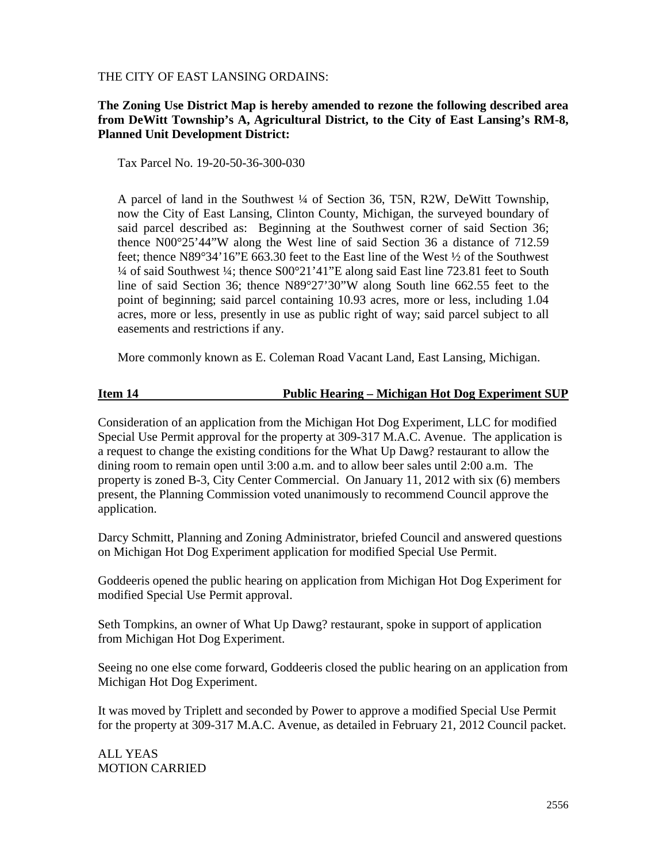THE CITY OF EAST LANSING ORDAINS:

# **The Zoning Use District Map is hereby amended to rezone the following described area from DeWitt Township's A, Agricultural District, to the City of East Lansing's RM-8, Planned Unit Development District:**

Tax Parcel No. 19-20-50-36-300-030

A parcel of land in the Southwest ¼ of Section 36, T5N, R2W, DeWitt Township, now the City of East Lansing, Clinton County, Michigan, the surveyed boundary of said parcel described as: Beginning at the Southwest corner of said Section 36; thence N00°25'44"W along the West line of said Section 36 a distance of 712.59 feet; thence N89°34'16"E 663.30 feet to the East line of the West ½ of the Southwest ¼ of said Southwest ¼; thence S00°21'41"E along said East line 723.81 feet to South line of said Section 36; thence N89°27'30"W along South line 662.55 feet to the point of beginning; said parcel containing 10.93 acres, more or less, including 1.04 acres, more or less, presently in use as public right of way; said parcel subject to all easements and restrictions if any.

More commonly known as E. Coleman Road Vacant Land, East Lansing, Michigan.

# **Item 14 Public Hearing – Michigan Hot Dog Experiment SUP**

Consideration of an application from the Michigan Hot Dog Experiment, LLC for modified Special Use Permit approval for the property at 309-317 M.A.C. Avenue. The application is a request to change the existing conditions for the What Up Dawg? restaurant to allow the dining room to remain open until 3:00 a.m. and to allow beer sales until 2:00 a.m. The property is zoned B-3, City Center Commercial. On January 11, 2012 with six (6) members present, the Planning Commission voted unanimously to recommend Council approve the application.

Darcy Schmitt, Planning and Zoning Administrator, briefed Council and answered questions on Michigan Hot Dog Experiment application for modified Special Use Permit.

Goddeeris opened the public hearing on application from Michigan Hot Dog Experiment for modified Special Use Permit approval.

Seth Tompkins, an owner of What Up Dawg? restaurant, spoke in support of application from Michigan Hot Dog Experiment.

Seeing no one else come forward, Goddeeris closed the public hearing on an application from Michigan Hot Dog Experiment.

It was moved by Triplett and seconded by Power to approve a modified Special Use Permit for the property at 309-317 M.A.C. Avenue, as detailed in February 21, 2012 Council packet.

ALL YEAS MOTION CARRIED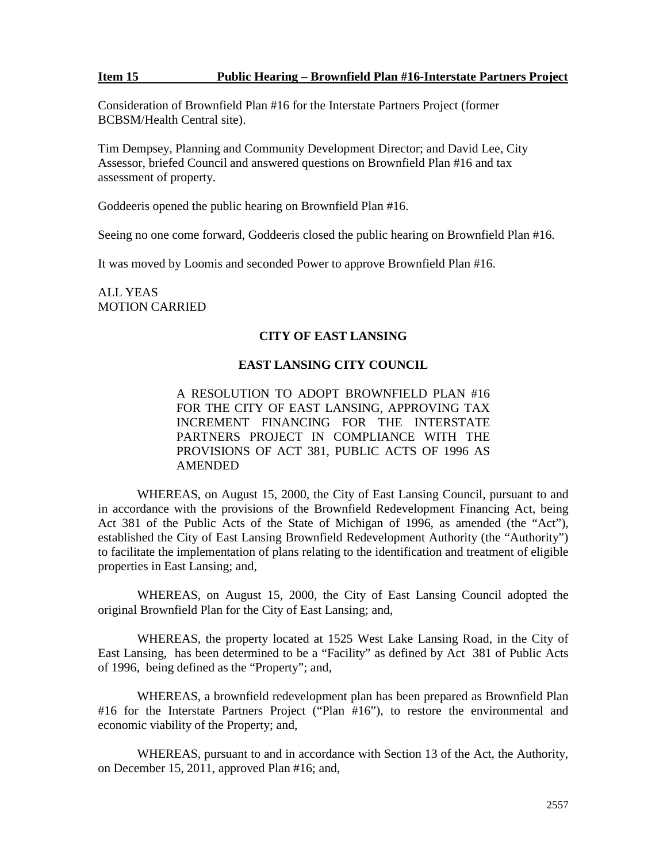### **Item 15 Public Hearing – Brownfield Plan #16-Interstate Partners Project**

Consideration of Brownfield Plan #16 for the Interstate Partners Project (former BCBSM/Health Central site).

Tim Dempsey, Planning and Community Development Director; and David Lee, City Assessor, briefed Council and answered questions on Brownfield Plan #16 and tax assessment of property.

Goddeeris opened the public hearing on Brownfield Plan #16.

Seeing no one come forward, Goddeeris closed the public hearing on Brownfield Plan #16.

It was moved by Loomis and seconded Power to approve Brownfield Plan #16.

ALL YEAS MOTION CARRIED

# **CITY OF EAST LANSING**

### **EAST LANSING CITY COUNCIL**

A RESOLUTION TO ADOPT BROWNFIELD PLAN #16 FOR THE CITY OF EAST LANSING, APPROVING TAX INCREMENT FINANCING FOR THE INTERSTATE PARTNERS PROJECT IN COMPLIANCE WITH THE PROVISIONS OF ACT 381, PUBLIC ACTS OF 1996 AS AMENDED

WHEREAS, on August 15, 2000, the City of East Lansing Council, pursuant to and in accordance with the provisions of the Brownfield Redevelopment Financing Act, being Act 381 of the Public Acts of the State of Michigan of 1996, as amended (the "Act"), established the City of East Lansing Brownfield Redevelopment Authority (the "Authority") to facilitate the implementation of plans relating to the identification and treatment of eligible properties in East Lansing; and,

WHEREAS, on August 15, 2000, the City of East Lansing Council adopted the original Brownfield Plan for the City of East Lansing; and,

WHEREAS, the property located at 1525 West Lake Lansing Road, in the City of East Lansing, has been determined to be a "Facility" as defined by Act 381 of Public Acts of 1996, being defined as the "Property"; and,

WHEREAS, a brownfield redevelopment plan has been prepared as Brownfield Plan #16 for the Interstate Partners Project ("Plan #16"), to restore the environmental and economic viability of the Property; and,

WHEREAS, pursuant to and in accordance with Section 13 of the Act, the Authority, on December 15, 2011, approved Plan #16; and,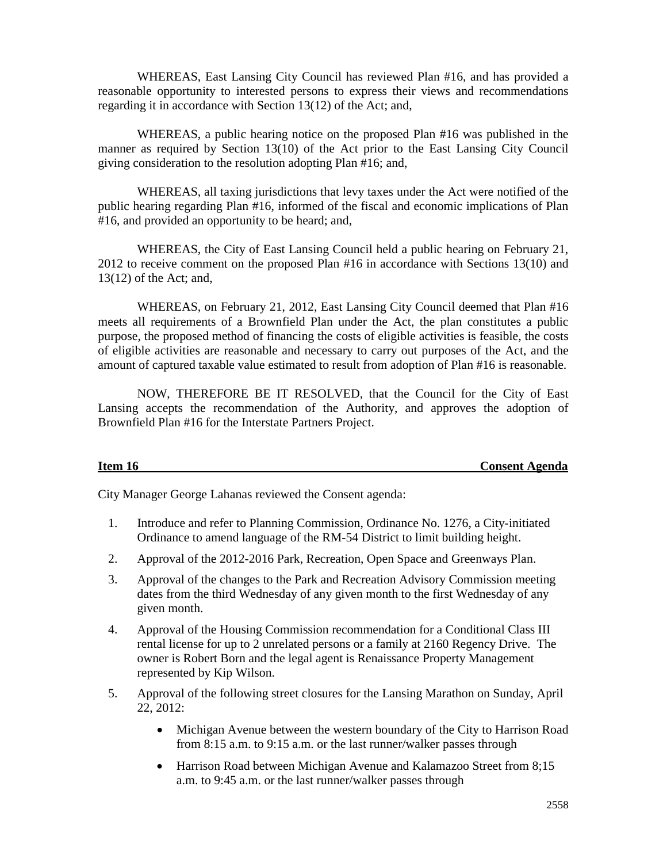WHEREAS, East Lansing City Council has reviewed Plan #16, and has provided a reasonable opportunity to interested persons to express their views and recommendations regarding it in accordance with Section 13(12) of the Act; and,

WHEREAS, a public hearing notice on the proposed Plan #16 was published in the manner as required by Section 13(10) of the Act prior to the East Lansing City Council giving consideration to the resolution adopting Plan #16; and,

WHEREAS, all taxing jurisdictions that levy taxes under the Act were notified of the public hearing regarding Plan #16, informed of the fiscal and economic implications of Plan #16, and provided an opportunity to be heard; and,

WHEREAS, the City of East Lansing Council held a public hearing on February 21, 2012 to receive comment on the proposed Plan #16 in accordance with Sections 13(10) and 13(12) of the Act; and,

WHEREAS, on February 21, 2012, East Lansing City Council deemed that Plan #16 meets all requirements of a Brownfield Plan under the Act, the plan constitutes a public purpose, the proposed method of financing the costs of eligible activities is feasible, the costs of eligible activities are reasonable and necessary to carry out purposes of the Act, and the amount of captured taxable value estimated to result from adoption of Plan #16 is reasonable.

NOW, THEREFORE BE IT RESOLVED, that the Council for the City of East Lansing accepts the recommendation of the Authority, and approves the adoption of Brownfield Plan #16 for the Interstate Partners Project.

**Item 16 Consent Agenda**

City Manager George Lahanas reviewed the Consent agenda:

- 1. Introduce and refer to Planning Commission, Ordinance No. 1276, a City-initiated Ordinance to amend language of the RM-54 District to limit building height.
- 2. Approval of the 2012-2016 Park, Recreation, Open Space and Greenways Plan.
- 3. Approval of the changes to the Park and Recreation Advisory Commission meeting dates from the third Wednesday of any given month to the first Wednesday of any given month.
- 4. Approval of the Housing Commission recommendation for a Conditional Class III rental license for up to 2 unrelated persons or a family at 2160 Regency Drive. The owner is Robert Born and the legal agent is Renaissance Property Management represented by Kip Wilson.
- 5. Approval of the following street closures for the Lansing Marathon on Sunday, April 22, 2012:
	- Michigan Avenue between the western boundary of the City to Harrison Road from 8:15 a.m. to 9:15 a.m. or the last runner/walker passes through
	- Harrison Road between Michigan Avenue and Kalamazoo Street from 8;15 a.m. to 9:45 a.m. or the last runner/walker passes through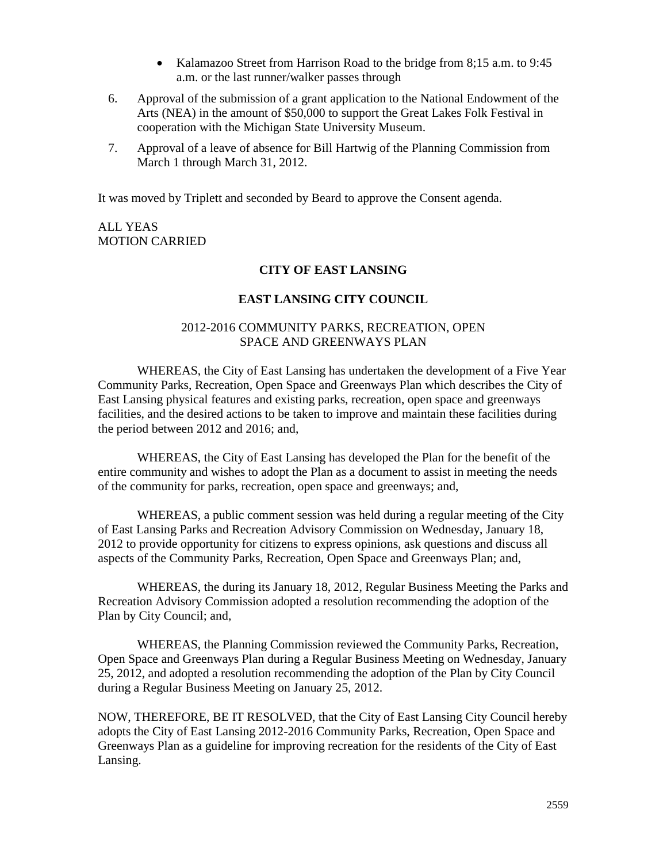- Kalamazoo Street from Harrison Road to the bridge from 8;15 a.m. to 9:45 a.m. or the last runner/walker passes through
- 6. Approval of the submission of a grant application to the National Endowment of the Arts (NEA) in the amount of \$50,000 to support the Great Lakes Folk Festival in cooperation with the Michigan State University Museum.
- 7. Approval of a leave of absence for Bill Hartwig of the Planning Commission from March 1 through March 31, 2012.

It was moved by Triplett and seconded by Beard to approve the Consent agenda.

### ALL YEAS MOTION CARRIED

### **CITY OF EAST LANSING**

### **EAST LANSING CITY COUNCIL**

### 2012-2016 COMMUNITY PARKS, RECREATION, OPEN SPACE AND GREENWAYS PLAN

WHEREAS, the City of East Lansing has undertaken the development of a Five Year Community Parks, Recreation, Open Space and Greenways Plan which describes the City of East Lansing physical features and existing parks, recreation, open space and greenways facilities, and the desired actions to be taken to improve and maintain these facilities during the period between 2012 and 2016; and,

WHEREAS, the City of East Lansing has developed the Plan for the benefit of the entire community and wishes to adopt the Plan as a document to assist in meeting the needs of the community for parks, recreation, open space and greenways; and,

WHEREAS, a public comment session was held during a regular meeting of the City of East Lansing Parks and Recreation Advisory Commission on Wednesday, January 18, 2012 to provide opportunity for citizens to express opinions, ask questions and discuss all aspects of the Community Parks, Recreation, Open Space and Greenways Plan; and,

WHEREAS, the during its January 18, 2012, Regular Business Meeting the Parks and Recreation Advisory Commission adopted a resolution recommending the adoption of the Plan by City Council; and,

WHEREAS, the Planning Commission reviewed the Community Parks, Recreation, Open Space and Greenways Plan during a Regular Business Meeting on Wednesday, January 25, 2012, and adopted a resolution recommending the adoption of the Plan by City Council during a Regular Business Meeting on January 25, 2012.

NOW, THEREFORE, BE IT RESOLVED, that the City of East Lansing City Council hereby adopts the City of East Lansing 2012-2016 Community Parks, Recreation, Open Space and Greenways Plan as a guideline for improving recreation for the residents of the City of East Lansing.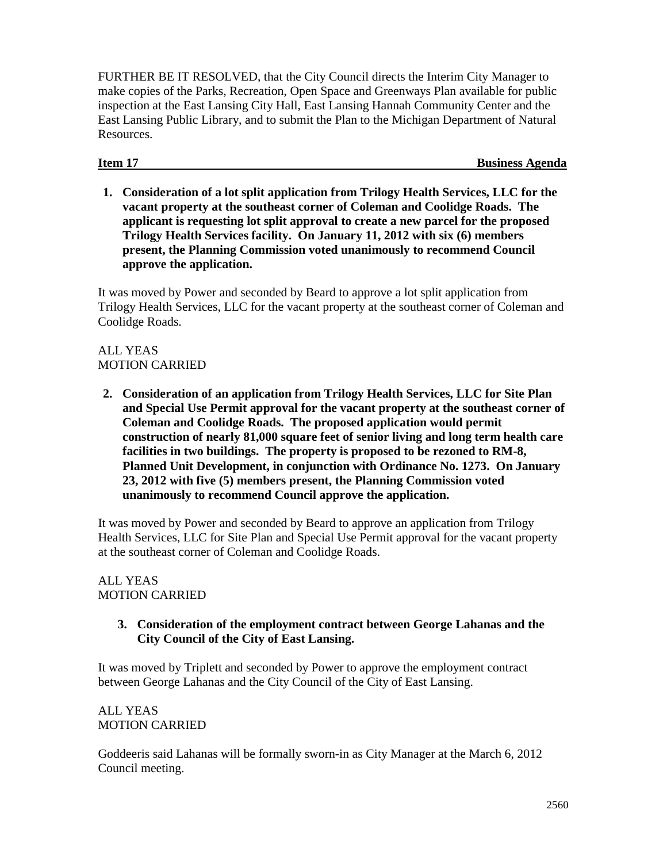FURTHER BE IT RESOLVED, that the City Council directs the Interim City Manager to make copies of the Parks, Recreation, Open Space and Greenways Plan available for public inspection at the East Lansing City Hall, East Lansing Hannah Community Center and the East Lansing Public Library, and to submit the Plan to the Michigan Department of Natural **Resources** 

**Item 17** Business Agenda

**1. Consideration of a lot split application from Trilogy Health Services, LLC for the vacant property at the southeast corner of Coleman and Coolidge Roads. The applicant is requesting lot split approval to create a new parcel for the proposed Trilogy Health Services facility. On January 11, 2012 with six (6) members present, the Planning Commission voted unanimously to recommend Council approve the application.**

It was moved by Power and seconded by Beard to approve a lot split application from Trilogy Health Services, LLC for the vacant property at the southeast corner of Coleman and Coolidge Roads.

# ALL YEAS MOTION CARRIED

**2. Consideration of an application from Trilogy Health Services, LLC for Site Plan and Special Use Permit approval for the vacant property at the southeast corner of Coleman and Coolidge Roads. The proposed application would permit construction of nearly 81,000 square feet of senior living and long term health care facilities in two buildings. The property is proposed to be rezoned to RM-8, Planned Unit Development, in conjunction with Ordinance No. 1273. On January 23, 2012 with five (5) members present, the Planning Commission voted unanimously to recommend Council approve the application.**

It was moved by Power and seconded by Beard to approve an application from Trilogy Health Services, LLC for Site Plan and Special Use Permit approval for the vacant property at the southeast corner of Coleman and Coolidge Roads.

### ALL YEAS MOTION CARRIED

**3. Consideration of the employment contract between George Lahanas and the City Council of the City of East Lansing.**

It was moved by Triplett and seconded by Power to approve the employment contract between George Lahanas and the City Council of the City of East Lansing.

# ALL YEAS MOTION CARRIED

Goddeeris said Lahanas will be formally sworn-in as City Manager at the March 6, 2012 Council meeting.